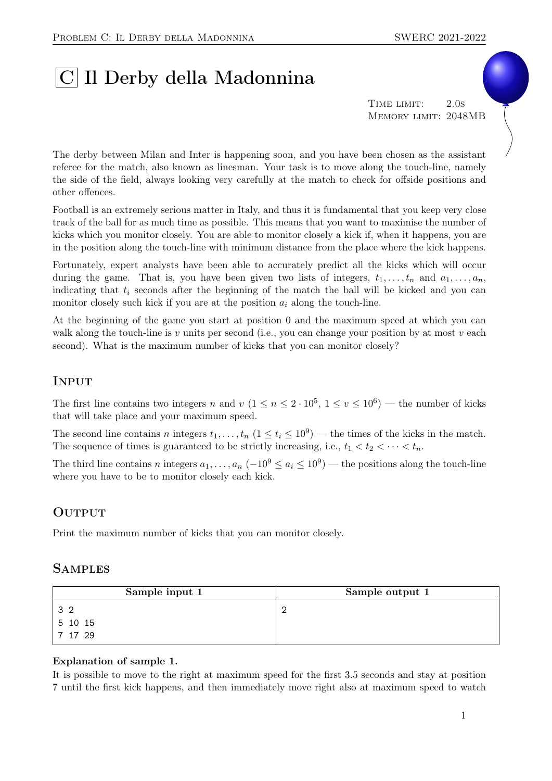# |C| Il Derby della Madonnina

TIME LIMIT: 2.0s Memory limit: 2048MB

The derby between Milan and Inter is happening soon, and you have been chosen as the assistant referee for the match, also known as linesman. Your task is to move along the touch-line, namely the side of the field, always looking very carefully at the match to check for offside positions and other offences.

Football is an extremely serious matter in Italy, and thus it is fundamental that you keep very close track of the ball for as much time as possible. This means that you want to maximise the number of kicks which you monitor closely. You are able to monitor closely a kick if, when it happens, you are in the position along the touch-line with minimum distance from the place where the kick happens.

Fortunately, expert analysts have been able to accurately predict all the kicks which will occur during the game. That is, you have been given two lists of integers,  $t_1, \ldots, t_n$  and  $a_1, \ldots, a_n$ , indicating that  $t_i$  seconds after the beginning of the match the ball will be kicked and you can monitor closely such kick if you are at the position  $a_i$  along the touch-line.

At the beginning of the game you start at position 0 and the maximum speed at which you can walk along the touch-line is v units per second (i.e., you can change your position by at most v each second). What is the maximum number of kicks that you can monitor closely?

## **INPUT**

The first line contains two integers n and  $v (1 \le n \le 2 \cdot 10^5, 1 \le v \le 10^6)$  — the number of kicks that will take place and your maximum speed.

The second line contains n integers  $t_1, \ldots, t_n$   $(1 \le t_i \le 10^9)$  — the times of the kicks in the match. The sequence of times is guaranteed to be strictly increasing, i.e.,  $t_1 < t_2 < \cdots < t_n$ .

The third line contains n integers  $a_1, \ldots, a_n$   $(-10^9 \le a_i \le 10^9)$  — the positions along the touch-line where you have to be to monitor closely each kick.

### **OUTPUT**

Print the maximum number of kicks that you can monitor closely.

#### **SAMPLES**

| Sample input 1 | Sample output 1 |
|----------------|-----------------|
| 32             |                 |
| 5 10 15        |                 |
| 7 17 29        |                 |

#### Explanation of sample 1.

It is possible to move to the right at maximum speed for the first 3.5 seconds and stay at position 7 until the first kick happens, and then immediately move right also at maximum speed to watch